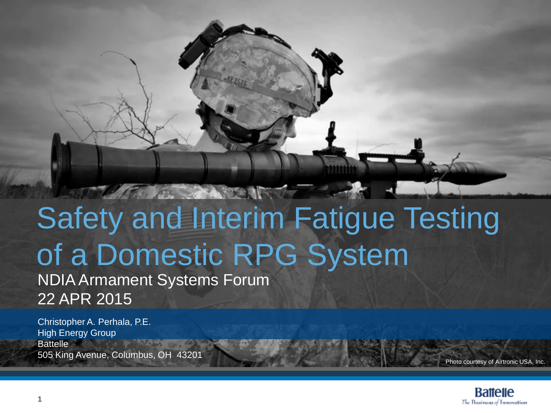#### Safety and Interim Fatigue Testing of a Domestic RPG System NDIA Armament Systems Forum 22 APR 2015

THE STATE IN THE

Christopher A. Perhala, P.E. High Energy Group **Battelle** 505 King Avenue, Columbus, OH 43201

Photo courtesy of Airtronic USA, Inc.

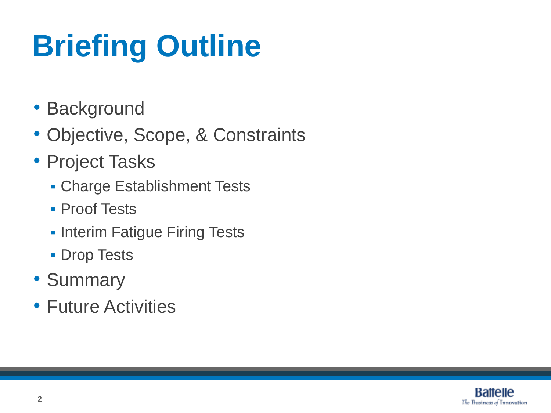# **Briefing Outline**

- Background
- Objective, Scope, & Constraints
- Project Tasks
	- Charge Establishment Tests
	- **Proof Tests**
	- **Interim Fatigue Firing Tests**
	- **Drop Tests**
- Summary
- Future Activities

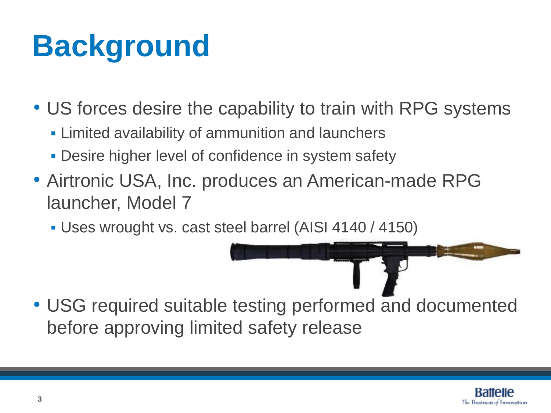## **Background**

- US forces desire the capability to train with RPG systems
	- **Limited availability of ammunition and launchers**
	- **Desire higher level of confidence in system safety**
- Airtronic USA, Inc. produces an American-made RPG launcher, Model 7
	- Uses wrought vs. cast steel barrel (AISI 4140 / 4150)

• USG required suitable testing performed and documented before approving limited safety release

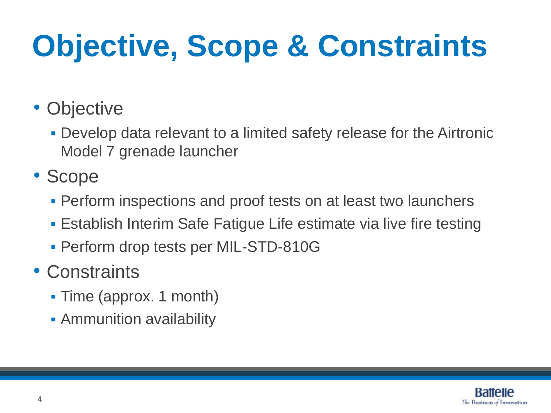# **Objective, Scope & Constraints**

- Objective
	- Develop data relevant to a limited safety release for the Airtronic Model 7 grenade launcher
- Scope
	- **Perform inspections and proof tests on at least two launchers**
	- Establish Interim Safe Fatigue Life estimate via live fire testing
	- Perform drop tests per MIL-STD-810G
- Constraints
	- Time (approx. 1 month)
	- **Ammunition availability**

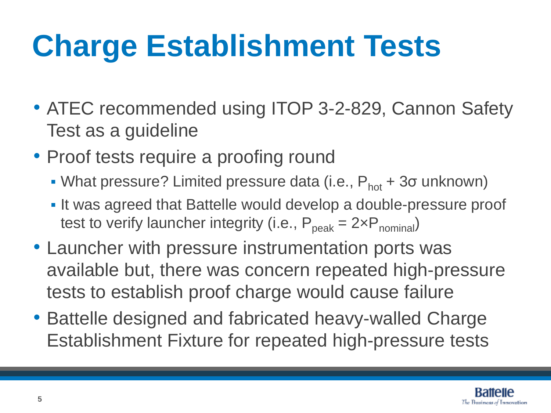## **Charge Establishment Tests**

- ATEC recommended using ITOP 3-2-829, Cannon Safety Test as a guideline
- Proof tests require a proofing round
	- What pressure? Limited pressure data (i.e.,  $P_{hot} + 3\sigma$  unknown)
	- It was agreed that Battelle would develop a double-pressure proof test to verify launcher integrity (i.e.,  $P_{peak} = 2 \times P_{nominal}$ )
- Launcher with pressure instrumentation ports was available but, there was concern repeated high-pressure tests to establish proof charge would cause failure
- Battelle designed and fabricated heavy-walled Charge Establishment Fixture for repeated high-pressure tests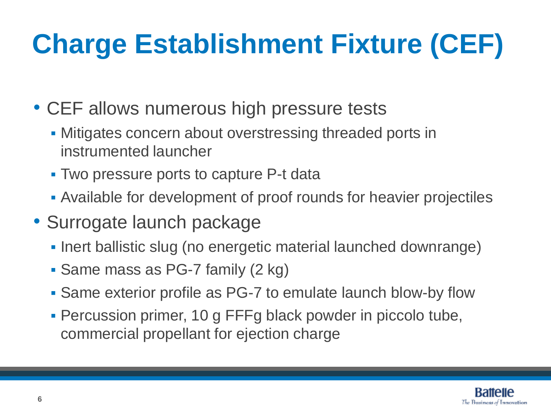#### **Charge Establishment Fixture (CEF)**

- CEF allows numerous high pressure tests
	- **Mitigates concern about overstressing threaded ports in** instrumented launcher
	- Two pressure ports to capture P-t data
	- Available for development of proof rounds for heavier projectiles
- Surrogate launch package
	- **Inert ballistic slug (no energetic material launched downrange)**
	- Same mass as PG-7 family (2 kg)
	- Same exterior profile as PG-7 to emulate launch blow-by flow
	- Percussion primer, 10 g FFFg black powder in piccolo tube, commercial propellant for ejection charge

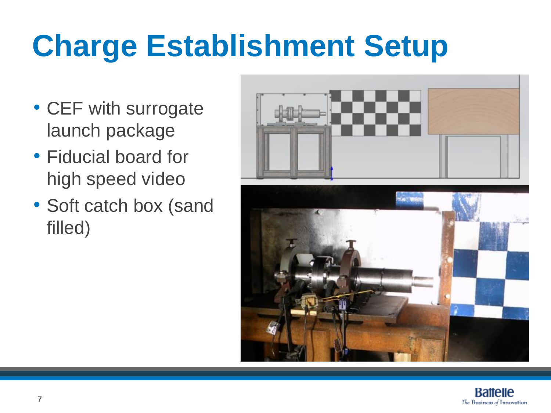# **Charge Establishment Setup**

- CEF with surrogate launch package
- Fiducial board for high speed video
- Soft catch box (sand filled)



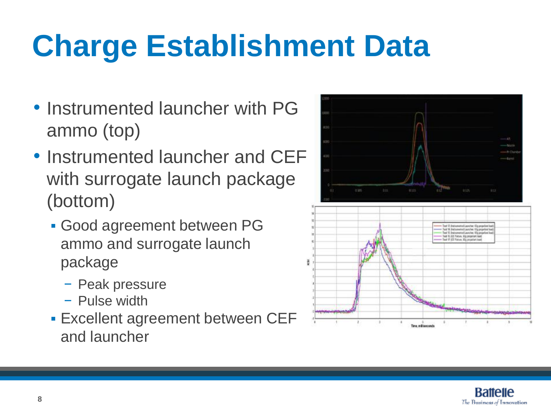## **Charge Establishment Data**

- Instrumented launcher with PG ammo (top)
- Instrumented launcher and CEF with surrogate launch package (bottom)
	- Good agreement between PG ammo and surrogate launch package
		- − Peak pressure
		- − Pulse width
	- **Excellent agreement between CEF** and launcher



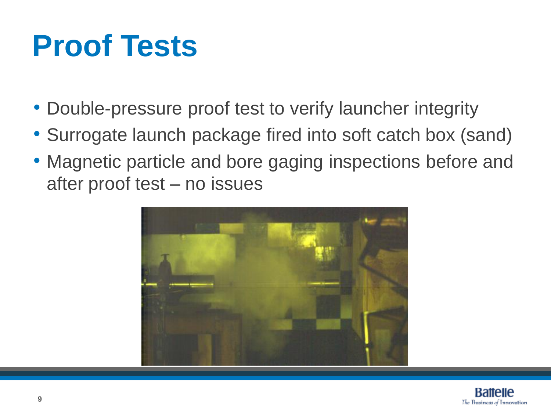#### **Proof Tests**

- Double-pressure proof test to verify launcher integrity
- Surrogate launch package fired into soft catch box (sand)
- Magnetic particle and bore gaging inspections before and after proof test – no issues



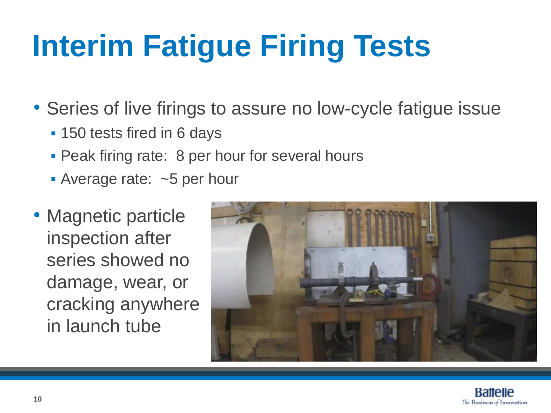# **Interim Fatigue Firing Tests**

• Series of live firings to assure no low-cycle fatigue issue

- **150 tests fired in 6 days**
- **Peak firing rate: 8 per hour for several hours**
- Average rate: ~5 per hour
- Magnetic particle inspection after series showed no damage, wear, or cracking anywhere in launch tube



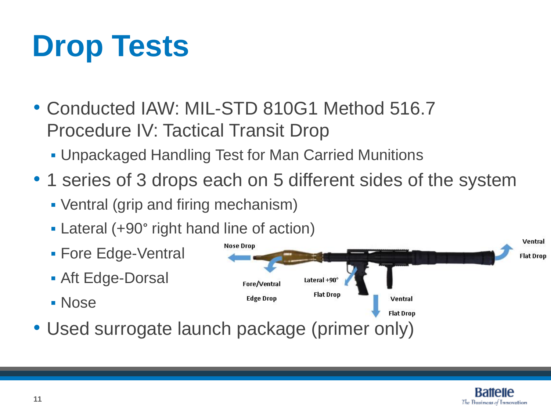## **Drop Tests**

- Conducted IAW: MIL-STD 810G1 Method 516.7 Procedure IV: Tactical Transit Drop
	- Unpackaged Handling Test for Man Carried Munitions
- 1 series of 3 drops each on 5 different sides of the system
	- Ventral (grip and firing mechanism)
	- Lateral (+90° right hand line of action)
	- **Fore Edge-Ventral**
	- Aft Edge-Dorsal
	- Nose
- Ventral **Nose Drop Flat Drop** Lateral +90° Fore/Ventral **Flat Drop Edge Drop** Ventral **Flat Drop**
- Used surrogate launch package (primer only)

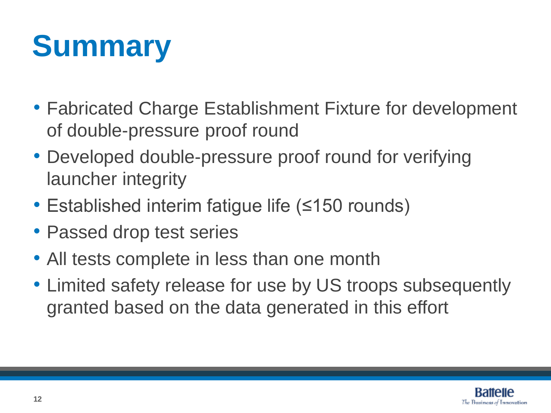## **Summary**

- Fabricated Charge Establishment Fixture for development of double-pressure proof round
- Developed double-pressure proof round for verifying launcher integrity
- Established interim fatigue life (≤150 rounds)
- Passed drop test series
- All tests complete in less than one month
- Limited safety release for use by US troops subsequently granted based on the data generated in this effort

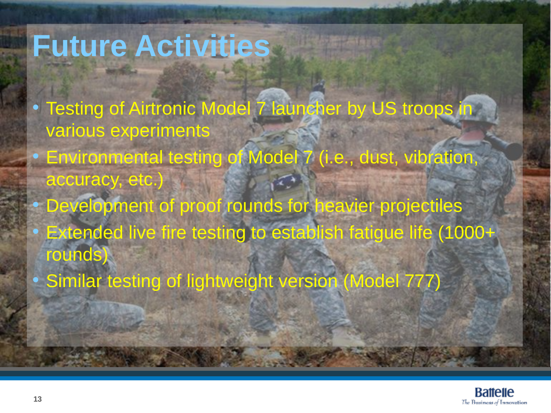#### **Future Activities**

- Testing of Airtronic Model 7 launcher by US troops in various experiments
- Environmental testing of Model 7 (i.e., dust, vibration, accuracy, etc.)
- Development of proof rounds for heavier projectiles
- Extended live fire testing to establish fatigue life (1000+ rounds)
- Similar testing of lightweight version (Model 777)